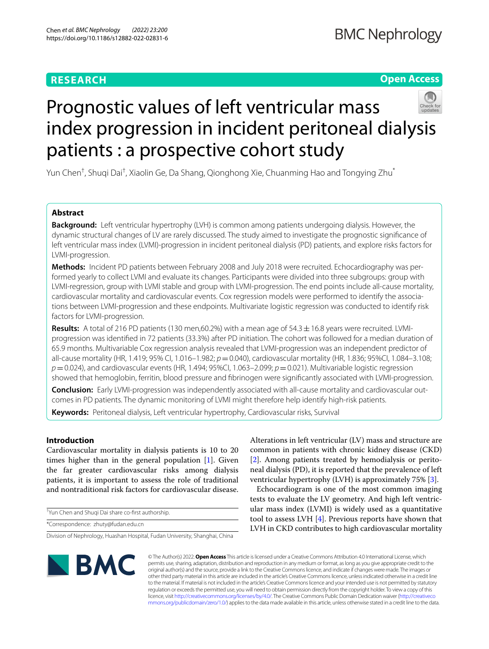# **RESEARCH**

# **Open Access**



# Prognostic values of left ventricular mass index progression in incident peritoneal dialysis patients : a prospective cohort study

Yun Chen<sup>t</sup>, Shuqi Dai<sup>t</sup>, Xiaolin Ge, Da Shang, Qionghong Xie, Chuanming Hao and Tongying Zhu<sup>\*</sup>

# **Abstract**

**Background:** Left ventricular hypertrophy (LVH) is common among patients undergoing dialysis. However, the dynamic structural changes of LV are rarely discussed. The study aimed to investigate the prognostic signifcance of left ventricular mass index (LVMI)-progression in incident peritoneal dialysis (PD) patients, and explore risks factors for LVMI-progression.

**Methods:** Incident PD patients between February 2008 and July 2018 were recruited. Echocardiography was performed yearly to collect LVMI and evaluate its changes. Participants were divided into three subgroups: group with LVMI-regression, group with LVMI stable and group with LVMI-progression. The end points include all-cause mortality, cardiovascular mortality and cardiovascular events. Cox regression models were performed to identify the associations between LVMI-progression and these endpoints. Multivariate logistic regression was conducted to identify risk factors for LVMI-progression.

**Results:** A total of 216 PD patients (130 men,60.2%) with a mean age of  $54.3 \pm 16.8$  years were recruited. LVMIprogression was identifed in 72 patients (33.3%) after PD initiation. The cohort was followed for a median duration of 65.9 months. Multivariable Cox regression analysis revealed that LVMI-progression was an independent predictor of all-cause mortality (HR, 1.419; 95% CI, 1.016–1.982; *p*=0.040), cardiovascular mortality (HR, 1.836; 95%CI, 1.084–3.108; *p*=0.024), and cardiovascular events (HR, 1.494; 95%CI, 1.063–2.099; *p*=0.021). Multivariable logistic regression showed that hemoglobin, ferritin, blood pressure and fbrinogen were signifcantly associated with LVMI-progression.

**Conclusion:** Early LVMI-progression was independently associated with all-cause mortality and cardiovascular outcomes in PD patients. The dynamic monitoring of LVMI might therefore help identify high-risk patients.

**Keywords:** Peritoneal dialysis, Left ventricular hypertrophy, Cardiovascular risks, Survival

# **Introduction**

Cardiovascular mortality in dialysis patients is 10 to 20 times higher than in the general population [[1\]](#page-7-0). Given the far greater cardiovascular risks among dialysis patients, it is important to assess the role of traditional and nontraditional risk factors for cardiovascular disease.

† Yun Chen and Shuqi Dai share co-frst authorship.

\*Correspondence: zhuty@fudan.edu.cn

Division of Nephrology, Huashan Hospital, Fudan University, Shanghai, China

Alterations in left ventricular (LV) mass and structure are common in patients with chronic kidney disease (CKD) [[2\]](#page-7-1). Among patients treated by hemodialysis or peritoneal dialysis (PD), it is reported that the prevalence of left ventricular hypertrophy (LVH) is approximately 75% [\[3](#page-7-2)].

Echocardiogram is one of the most common imaging tests to evaluate the LV geometry. And high left ventricular mass index (LVMI) is widely used as a quantitative tool to assess LVH [\[4](#page-7-3)]. Previous reports have shown that LVH in CKD contributes to high cardiovascular mortality



© The Author(s) 2022. **Open Access** This article is licensed under a Creative Commons Attribution 4.0 International License, which permits use, sharing, adaptation, distribution and reproduction in any medium or format, as long as you give appropriate credit to the original author(s) and the source, provide a link to the Creative Commons licence, and indicate if changes were made. The images or other third party material in this article are included in the article's Creative Commons licence, unless indicated otherwise in a credit line to the material. If material is not included in the article's Creative Commons licence and your intended use is not permitted by statutory regulation or exceeds the permitted use, you will need to obtain permission directly from the copyright holder. To view a copy of this licence, visit [http://creativecommons.org/licenses/by/4.0/.](http://creativecommons.org/licenses/by/4.0/) The Creative Commons Public Domain Dedication waiver ([http://creativeco](http://creativecommons.org/publicdomain/zero/1.0/) [mmons.org/publicdomain/zero/1.0/](http://creativecommons.org/publicdomain/zero/1.0/)) applies to the data made available in this article, unless otherwise stated in a credit line to the data.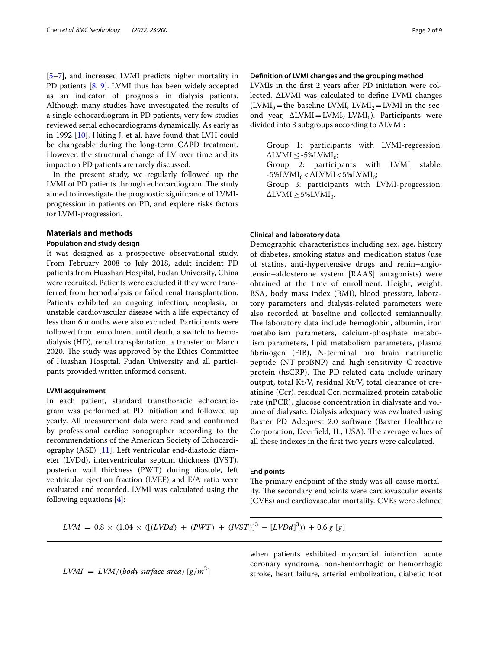[[5–](#page-7-4)[7\]](#page-7-5), and increased LVMI predicts higher mortality in PD patients [[8,](#page-7-6) [9](#page-7-7)]. LVMI thus has been widely accepted as an indicator of prognosis in dialysis patients. Although many studies have investigated the results of a single echocardiogram in PD patients, very few studies reviewed serial echocardiograms dynamically. As early as in 1992 [\[10\]](#page-7-8), Hüting J, et al. have found that LVH could be changeable during the long-term CAPD treatment. However, the structural change of LV over time and its impact on PD patients are rarely discussed.

In the present study, we regularly followed up the LVMI of PD patients through echocardiogram. The study aimed to investigate the prognostic signifcance of LVMIprogression in patients on PD, and explore risks factors for LVMI-progression.

## **Materials and methods**

#### **Population and study design**

It was designed as a prospective observational study. From February 2008 to July 2018, adult incident PD patients from Huashan Hospital, Fudan University, China were recruited. Patients were excluded if they were transferred from hemodialysis or failed renal transplantation. Patients exhibited an ongoing infection, neoplasia, or unstable cardiovascular disease with a life expectancy of less than 6 months were also excluded. Participants were followed from enrollment until death, a switch to hemodialysis (HD), renal transplantation, a transfer, or March 2020. The study was approved by the Ethics Committee of Huashan Hospital, Fudan University and all participants provided written informed consent.

#### **LVMI acquirement**

In each patient, standard transthoracic echocardiogram was performed at PD initiation and followed up yearly. All measurement data were read and confrmed by professional cardiac sonographer according to the recommendations of the American Society of Echocardiography (ASE) [[11\]](#page-7-9). Left ventricular end-diastolic diameter (LVDd), interventricular septum thickness (IVST), posterior wall thickness (PWT) during diastole, left ventricular ejection fraction (LVEF) and E/A ratio were evaluated and recorded. LVMI was calculated using the following equations [\[4](#page-7-3)]:

# **Defnition of LVMI changes and the grouping method**

LVMIs in the frst 2 years after PD initiation were collected. ∆LVMI was calculated to defne LVMI changes  $(LVMI<sub>0</sub>=$  the baseline LVMI, LVMI<sub>2</sub> = LVMI in the second year,  $\Delta$ LVMI= LVMI<sub>2</sub>-LVMI<sub>0</sub>). Participants were divided into 3 subgroups according to ∆LVMI:

Group 1: participants with LVMI-regression:  $\triangle$ LVMI  $\leq$  -5%LVMI<sub>0</sub>;

Group 2: participants with LVMI stable:  $-5\%$ LVMI<sub>0</sub> < $\Delta$ LVMI < 5%LVMI<sub>0</sub>;

Group 3: participants with LVMI-progression:  $\triangle$ LVMI $\geq$  5%LVMI<sub>0</sub>.

### **Clinical and laboratory data**

Demographic characteristics including sex, age, history of diabetes, smoking status and medication status (use of statins, anti-hypertensive drugs and renin–angiotensin–aldosterone system [RAAS] antagonists) were obtained at the time of enrollment. Height, weight, BSA, body mass index (BMI), blood pressure, laboratory parameters and dialysis-related parameters were also recorded at baseline and collected semiannually. The laboratory data include hemoglobin, albumin, iron metabolism parameters, calcium-phosphate metabolism parameters, lipid metabolism parameters, plasma fbrinogen (FIB), N-terminal pro brain natriuretic peptide (NT-proBNP) and high-sensitivity C-reactive protein (hsCRP). The PD-related data include urinary output, total Kt/V, residual Kt/V, total clearance of creatinine (Ccr), residual Ccr, normalized protein catabolic rate (nPCR), glucose concentration in dialysate and volume of dialysate. Dialysis adequacy was evaluated using Baxter PD Adequest 2.0 software (Baxter Healthcare Corporation, Deerfield, IL, USA). The average values of all these indexes in the frst two years were calculated.

### **End points**

The primary endpoint of the study was all-cause mortality. The secondary endpoints were cardiovascular events (CVEs) and cardiovascular mortality. CVEs were defned

$$
LVM = 0.8 \times (1.04 \times ([(LVDd) + (PWT) + (IVST)]^{3} - [LVDd]^{3})) + 0.6 g[g]
$$

$$
LVMI = LVM/(body surface area) [g/m2]
$$

when patients exhibited myocardial infarction, acute coronary syndrome, non-hemorrhagic or hemorrhagic stroke, heart failure, arterial embolization, diabetic foot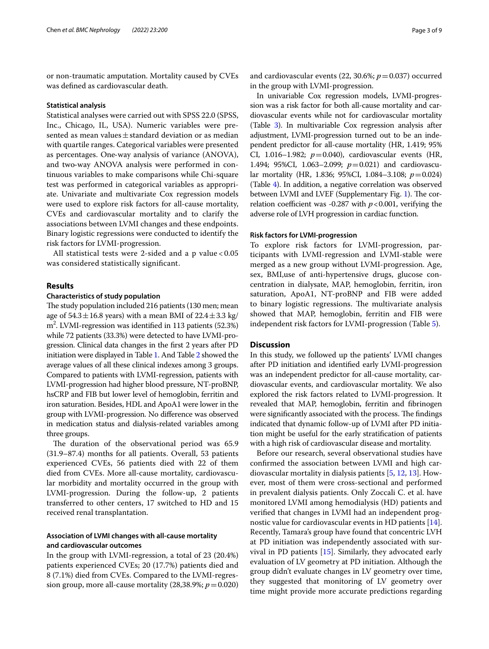or non-traumatic amputation. Mortality caused by CVEs was defned as cardiovascular death.

#### **Statistical analysis**

Statistical analyses were carried out with SPSS 22.0 (SPSS, Inc., Chicago, IL, USA). Numeric variables were presented as mean values $\pm$ standard deviation or as median with quartile ranges. Categorical variables were presented as percentages. One‐way analysis of variance (ANOVA), and two‐way ANOVA analysis were performed in continuous variables to make comparisons while Chi-square test was performed in categorical variables as appropriate. Univariate and multivariate Cox regression models were used to explore risk factors for all-cause mortality, CVEs and cardiovascular mortality and to clarify the associations between LVMI changes and these endpoints. Binary logistic regressions were conducted to identify the risk factors for LVMI-progression.

All statistical tests were 2-sided and a p value < 0.05 was considered statistically signifcant.

# **Results**

## **Characteristics of study population**

The study population included 216 patients (130 men; mean age of  $54.3 \pm 16.8$  years) with a mean BMI of  $22.4 \pm 3.3$  kg/ m2 . LVMI-regression was identifed in 113 patients (52.3%) while 72 patients (33.3%) were detected to have LVMI-progression. Clinical data changes in the frst 2 years after PD initiation were displayed in Table [1](#page-3-0). And Table [2](#page-4-0) showed the average values of all these clinical indexes among 3 groups. Compared to patients with LVMI-regression, patients with LVMI-progression had higher blood pressure, NT-proBNP, hsCRP and FIB but lower level of hemoglobin, ferritin and iron saturation. Besides, HDL and ApoA1 were lower in the group with LVMI-progression. No diference was observed in medication status and dialysis-related variables among three groups.

The duration of the observational period was 65.9 (31.9–87.4) months for all patients. Overall, 53 patients experienced CVEs, 56 patients died with 22 of them died from CVEs. More all-cause mortality, cardiovascular morbidity and mortality occurred in the group with LVMI-progression. During the follow-up, 2 patients transferred to other centers, 17 switched to HD and 15 received renal transplantation.

# **Association of LVMI changes with all‑cause mortality and cardiovascular outcomes**

In the group with LVMI-regression, a total of 23 (20.4%) patients experienced CVEs; 20 (17.7%) patients died and 8 (7.1%) died from CVEs. Compared to the LVMI-regression group, more all-cause mortality  $(28,38.9\%; p=0.020)$  and cardiovascular events (22, 30.6%;  $p = 0.037$ ) occurred in the group with LVMI-progression.

In univariable Cox regression models, LVMI-progression was a risk factor for both all-cause mortality and cardiovascular events while not for cardiovascular mortality (Table [3\)](#page-5-0). In multivariable Cox regression analysis after adjustment, LVMI-progression turned out to be an independent predictor for all-cause mortality (HR, 1.419; 95% CI, 1.016–1.982; *p*=0.040), cardiovascular events (HR, 1.494; 95%CI, 1.063–2.099; *p*=0.021) and cardiovascular mortality (HR, 1.836; 95%CI, 1.084–3.108; *p*=0.024) (Table [4](#page-5-1)). In addition, a negative correlation was observed between LVMI and LVEF (Supplementary Fig. [1\)](#page-7-10). The correlation coefficient was -0.287 with  $p < 0.001$ , verifying the adverse role of LVH progression in cardiac function.

#### **Risk factors for LVMI‑progression**

To explore risk factors for LVMI-progression, participants with LVMI-regression and LVMI-stable were merged as a new group without LVMI-progression. Age, sex, BMI,use of anti-hypertensive drugs, glucose concentration in dialysate, MAP, hemoglobin, ferritin, iron saturation, ApoA1, NT-proBNP and FIB were added to binary logistic regressions. The multivariate analysis showed that MAP, hemoglobin, ferritin and FIB were independent risk factors for LVMI-progression (Table [5](#page-6-0)).

#### **Discussion**

In this study, we followed up the patients' LVMI changes after PD initiation and identifed early LVMI-progression was an independent predictor for all-cause mortality, cardiovascular events, and cardiovascular mortality. We also explored the risk factors related to LVMI-progression. It revealed that MAP, hemoglobin, ferritin and fbrinogen were significantly associated with the process. The findings indicated that dynamic follow-up of LVMI after PD initiation might be useful for the early stratifcation of patients with a high risk of cardiovascular disease and mortality.

Before our research, several observational studies have confrmed the association between LVMI and high cardiovascular mortality in dialysis patients [\[5](#page-7-4), [12](#page-7-11), [13\]](#page-7-12). However, most of them were cross-sectional and performed in prevalent dialysis patients. Only Zoccali C. et al. have monitored LVMI among hemodialysis (HD) patients and verifed that changes in LVMI had an independent prognostic value for cardiovascular events in HD patients [\[14](#page-7-13)]. Recently, Tamara's group have found that concentric LVH at PD initiation was independently associated with survival in PD patients [\[15](#page-7-14)]. Similarly, they advocated early evaluation of LV geometry at PD initiation. Although the group didn't evaluate changes in LV geometry over time, they suggested that monitoring of LV geometry over time might provide more accurate predictions regarding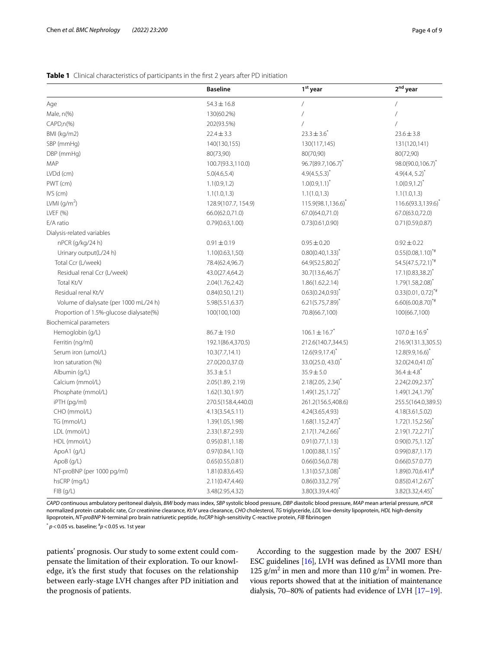## <span id="page-3-0"></span>**Table 1** Clinical characteristics of participants in the first 2 years after PD initiation

|                                         | <b>Baseline</b>     | 1 <sup>st</sup> year           | 2 <sup>nd</sup> year          |
|-----------------------------------------|---------------------|--------------------------------|-------------------------------|
| Age                                     | $54.3 \pm 16.8$     | $\overline{1}$                 |                               |
| Male, n(%)                              | 130(60.2%)          | 7                              | Τ                             |
| $CAPD, n(\%)$                           | 202(93.5%)          | $\sqrt{2}$                     | $\overline{1}$                |
| BMI (kg/m2)                             | $22.4 \pm 3.3$      | $23.3 \pm 3.6^*$               | $23.6 \pm 3.8$                |
| SBP (mmHg)                              | 140(130,155)        | 130(117,145)                   | 131(120,141)                  |
| DBP (mmHg)                              | 80(73,90)           | 80(70,90)                      | 80(72,90)                     |
| <b>MAP</b>                              | 100.7(93.3,110.0)   | 96.7(89.7,106.7)               | 98.0(90.0,106.7) <sup>*</sup> |
| LVDd (cm)                               | 5.0(4.6,5.4)        | $4.9(4.5,5.3)^{*}$             | $4.9(4.4, 5.2)^{*}$           |
| PWT (cm)                                | 1.1(0.9, 1.2)       | $1.0(0.9,1.1)^{*}$             | $1.0(0.9, 1.2)^{*}$           |
| $IVS$ (cm)                              | 1.1(1.0, 1.3)       | 1.1(1.0, 1.3)                  | 1.1(1.0, 1.3)                 |
| LVMI $\frac{q}{m^2}$                    | 128.9(107.7, 154.9) | 115.9(98.1,136.6) <sup>*</sup> | 116.6(93.3,139.6)             |
| LVEF (%)                                | 66.0(62.0,71.0)     | 67.0(64.0,71.0)                | 67.0(63.0,72.0)               |
| E/A ratio                               | 0.79(0.63, 1.00)    | 0.73(0.61, 0.90)               | 0.71(0.59, 0.87)              |
| Dialysis-related variables              |                     |                                |                               |
| nPCR (g/kg/24 h)                        | $0.91 \pm 0.19$     | $0.95 \pm 0.20$                | $0.92 \pm 0.22$               |
| Urinary output(L/24 h)                  | 1.10(0.63, 1.50)    | $0.80(0.40, 1.33)^{*}$         | $0.55(0.08,1.10)^{4}$         |
| Total Ccr (L/week)                      | 78.4(62.4,96.7)     | 64.9(52.5,80.2)*               | 54.5(47.5,72.1)*#             |
| Residual renal Ccr (L/week)             | 43.0(27.4,64.2)     | $30.7(13.6,46.7)^{*}$          | $17.1(0.83, 38.2)^{*}$        |
| Total Kt/V                              | 2.04(1.76,2.42)     | 1.86(1.62, 2.14)               | $1.79(1.58, 2.08)^{*}$        |
| Residual renal Kt/V                     | 0.84(0.50, 1.21)    | $0.63(0.24, 0.93)^{*}$         | $0.33(0.01, 0.72)^{*}$        |
| Volume of dialysate (per 1000 mL/24 h)  | 5.98(5.51,6.37)     | $6.21(5.75,7.89)^{*}$          | $6.60(6.00,8.70)^{4}$         |
| Proportion of 1.5%-glucose dialysate(%) | 100(100,100)        | 70.8(66.7,100)                 | 100(66.7,100)                 |
| Biochemical parameters                  |                     |                                |                               |
| Hemoglobin (g/L)                        | $86.7 \pm 19.0$     | $106.1 \pm 16.7$ <sup>*</sup>  | $107.0 \pm 16.9$ <sup>*</sup> |
| Ferritin (ng/ml)                        | 192.1(86.4,370.5)   | 212.6(140.7,344.5)             | 216.9(131.3,305.5)            |
| Serum iron (umol/L)                     | 10.3(7.7, 14.1)     | $12.6(9.9, 17.4)^{*}$          | $12.8(9.9,16.6)^{*}$          |
| Iron saturation (%)                     | 27.0(20.0,37.0)     | $33.0(25.0, 43.0)^{*}$         | 32.0(24.0,41.0)*              |
| Albumin (g/L)                           | $35.3 \pm 5.1$      | $35.9 \pm 5.0$                 | $36.4 \pm 4.8$ <sup>*</sup>   |
| Calcium (mmol/L)                        | 2.05(1.89, 2.19)    | $2.18(2.05, 2.34)^{*}$         | $2.24(2.09, 2.37)^{*}$        |
| Phosphate (mmol/L)                      | 1.62(1.30, 1.97)    | $1.49(1.25, 1.72)^{^{\circ}}$  | $1.49(1.24, 1.79)^{^{\circ}}$ |
| iPTH (pg/ml)                            | 270.5(158.4,440.0)  | 261.2(156.5,408.6)             | 255.5(164.0,389.5)            |
| CHO (mmol/L)                            | 4.13(3.54,5.11)     | 4.24(3.65,4.93)                | 4.18(3.61,5.02)               |
| TG (mmol/L)                             | 1.39(1.05,1.98)     | $1.68(1.15, 2.47)^{*}$         | $1.72(1.15, 2.56)^{^{\circ}}$ |
| LDL (mmol/L)                            | 2.33(1.87,2.93)     | $2.17(1.74, 2.66)^{*}$         | $2.19(1.72, 2.71)^{*}$        |
| HDL (mmol/L)                            | 0.95(0.81, 1.18)    | 0.91(0.77, 1.13)               | $0.90(0.75,1.12)^{*}$         |
| ApoA1 (g/L)                             | 0.97(0.84, 1.10)    | $1.00(0.88, 1.15)^{*}$         | 0.99(0.87, 1.17)              |
| ApoB (g/L)                              | 0.65(0.55, 0.81)    | 0.66(0.56, 0.78)               | 0.66(0.57.0.77)               |
| NT-proBNP (per 1000 pg/ml)              | 1.81(0.83, 6.45)    | $1.31(0.57,3.08)^{*}$          | $1.89(0.70,6.41)^{*}$         |
| hsCRP (mg/L)                            | 2.11(0.47,4.46)     | $0.86(0.33, 2.79)^{*}$         | $0.85(0.41, 2.67)^{*}$        |
| FIB(q/L)                                | 3.48(2.95,4.32)     | 3.80(3.39,4.40)*               | $3.82(3.32,4.45)^{*}$         |

*CAPD* continuous ambulatory peritoneal dialysis, *BMI* body mass index, *SBP* systolic blood pressure, *DBP* diastolic blood pressure, *MAP* mean arterial pressure, *nPCR* normalized protein catabolic rate, *Ccr* creatinine clearance, *Kt/V* urea clearance, *CHO* cholesterol, *TG* triglyceride, *LDL* low-density lipoprotein, *HDL* high-density lipoprotein, *NT-proBNP* N-terminal pro brain natriuretic peptide, *hsCRP* high-sensitivity C-reactive protein, *FIB* fbrinogen

\* *p*<0.05 vs. baseline; # *p*<0.05 vs. 1st year

patients' prognosis. Our study to some extent could compensate the limitation of their exploration. To our knowledge, it's the frst study that focuses on the relationship between early-stage LVH changes after PD initiation and the prognosis of patients.

According to the suggestion made by the 2007 ESH/ ESC guidelines [\[16\]](#page-7-15), LVH was defned as LVMI more than 125  $\frac{g}{m^2}$  in men and more than 110  $\frac{g}{m^2}$  in women. Previous reports showed that at the initiation of maintenance dialysis, 70–80% of patients had evidence of LVH [\[17–](#page-7-16)[19](#page-7-17)].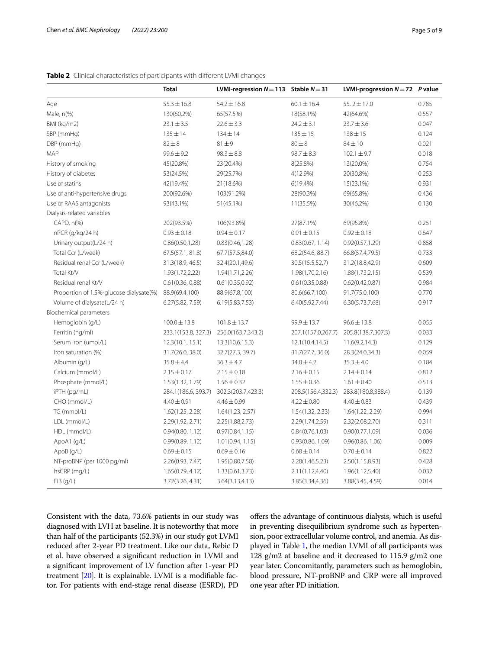<span id="page-4-0"></span>

| Table 2 Clinical characteristics of participants with different LVMI changes |  |  |
|------------------------------------------------------------------------------|--|--|
|------------------------------------------------------------------------------|--|--|

|                                         | <b>Total</b>        | LVMI-regression $N = 113$ Stable $N = 31$ |                    | LVMI-progression $N=72$ P value |       |
|-----------------------------------------|---------------------|-------------------------------------------|--------------------|---------------------------------|-------|
| Age                                     | $55.3 \pm 16.8$     | $54.2 \pm 16.8$                           | $60.1 \pm 16.4$    | 55.2 $\pm$ 17.0                 | 0.785 |
| Male, n(%)                              | 130(60.2%)          | 65(57.5%)                                 | 18(58.1%)          | 42(64.6%)                       | 0.557 |
| BMI (kg/m2)                             | $23.1 \pm 3.5$      | $22.6 \pm 3.3$                            | $24.2 \pm 3.1$     | $23.7 \pm 3.6$                  | 0.047 |
| SBP (mmHg)                              | $135 \pm 14$        | $134 \pm 14$                              | $135 \pm 15$       | $138 + 15$                      | 0.124 |
| DBP (mmHg)                              | $82 \pm 8$          | $81 \pm 9$                                | $80\pm8$           | $84 \pm 10$                     | 0.021 |
| MAP                                     | $99.6 \pm 9.2$      | $98.3 \pm 8.8$                            | $98.7 \pm 8.3$     | $102.1 \pm 9.7$                 | 0.018 |
| History of smoking                      | 45(20.8%)           | 23(20.4%)                                 | 8(25.8%)           | 13(20.0%)                       | 0.754 |
| History of diabetes                     | 53(24.5%)           | 29(25.7%)                                 | 4(12.9%)           | 20(30.8%)                       | 0.253 |
| Use of statins                          | 42(19.4%)           | 21(18.6%)                                 | 6(19.4%)           | 15(23.1%)                       | 0.931 |
| Use of anti-hypertensive drugs          | 200(92.6%)          | 103(91.2%)                                | 28(90.3%)          | 69(65.8%)                       | 0.436 |
| Use of RAAS antagonists                 | 93(43.1%)           | 51(45.1%)                                 | 11(35.5%)          | 30(46.2%)                       | 0.130 |
| Dialysis-related variables              |                     |                                           |                    |                                 |       |
| $CAPD, n(\%)$                           | 202(93.5%)          | 106(93.8%)                                | 27(87.1%)          | 69(95.8%)                       | 0.251 |
| nPCR (g/kg/24 h)                        | $0.93 \pm 0.18$     | $0.94 \pm 0.17$                           | $0.91 \pm 0.15$    | $0.92 \pm 0.18$                 | 0.647 |
| Urinary output(L/24 h)                  | 0.86(0.50, 1.28)    | 0.83(0.46, 1.28)                          | 0.83(0.67, 1.14)   | 0.92(0.57, 1.29)                | 0.858 |
| Total Ccr (L/week)                      | 67.5(57.1, 81.8)    | 67.7(57.5,84.0)                           | 68.2(54.6, 88.7)   | 66.8(57.4,79.5)                 | 0.733 |
| Residual renal Ccr (L/week)             | 31.3(18.9, 46.5)    | 32.4(20.1,49.6)                           | 30.5(15.5,52.7)    | 31.2(18.8,42.9)                 | 0.609 |
| Total Kt/V                              | 1.93(1.72,2.22)     | 1.94(1.71,2.26)                           | 1.98(1.70, 2.16)   | 1.88(1.73, 2.15)                | 0.539 |
| Residual renal Kt/V                     | 0.61(0.36, 0.88)    | 0.61(0.35, 0.92)                          | 0.61(0.35, 0.88)   | 0.62(0.42, 0.87)                | 0.984 |
| Proportion of 1.5%-glucose dialysate(%) | 88.9(69.4,100)      | 88.9(67.8,100)                            | 80.6(66.7,100)     | 91.7(75.0,100)                  | 0.770 |
| Volume of dialysate(L/24 h)             | 6.27(5.82, 7.59)    | 6.19(5.83, 7.53)                          | 6.40(5.92,7.44)    | 6.30(5.73,7.68)                 | 0.917 |
| Biochemical parameters                  |                     |                                           |                    |                                 |       |
| Hemoglobin (g/L)                        | $100.0 \pm 13.8$    | $101.8 \pm 13.7$                          | 99.9±13.7          | $96.6 \pm 13.8$                 | 0.055 |
| Ferritin (ng/ml)                        | 233.1(153.8, 327.3) | 256.0(163.7,343.2)                        | 207.1(157.0,267.7) | 205.8(138.7,307.3)              | 0.033 |
| Serum iron (umol/L)                     | 12.3(10.1, 15.1)    | 13.3(10.6, 15.3)                          | 12.1(10.4, 14.5)   | 11.6(9.2, 14.3)                 | 0.129 |
| Iron saturation (%)                     | 31.7(26.0, 38.0)    | 32.7(27.3, 39.7)                          | 31.7(27.7, 36.0)   | 28.3(24.0,34.3)                 | 0.059 |
| Albumin (g/L)                           | $35.8 \pm 4.4$      | $36.3 \pm 4.7$                            | $34.8 \pm 4.2$     | $35.3 \pm 4.0$                  | 0.184 |
| Calcium (mmol/L)                        | $2.15 \pm 0.17$     | $2.15 \pm 0.18$                           | $2.16 \pm 0.15$    | $2.14 \pm 0.14$                 | 0.812 |
| Phosphate (mmol/L)                      | 1.53(1.32, 1.79)    | $1.56 \pm 0.32$                           | $1.55 \pm 0.36$    | $1.61 \pm 0.40$                 | 0.513 |
| iPTH (pg/mL)                            | 284.1(186.6, 393.7) | 302.3(203.7,423.3)                        | 208.5(156.4,332.3) | 283.8(180.8,388.4)              | 0.139 |
| CHO (mmol/L)                            | $4.40 \pm 0.91$     | $4.46 \pm 0.99$                           | $4.22 \pm 0.80$    | $4.40 \pm 0.83$                 | 0.439 |
| TG (mmol/L)                             | 1.62(1.25, 2.28)    | 1.64(1.23, 2.57)                          | 1.54(1.32, 2.33)   | 1.64(1.22, 2.29)                | 0.994 |
| LDL (mmol/L)                            | 2.29(1.92, 2.71)    | 2.25(1.88,2.73)                           | 2.29(1.74,2.59)    | 2.32(2.08,2.70)                 | 0.311 |
| HDL (mmol/L)                            | 0.94(0.80, 1.12)    | 0.97(0.84, 1.15)                          | 0.84(0.76, 1.03)   | 0.90(0.77, 1.09)                | 0.036 |
| ApoA1 (g/L)                             | 0.99(0.89, 1.12)    | 1.01(0.94, 1.15)                          | 0.93(0.86, 1.09)   | 0.96(0.86, 1.06)                | 0.009 |
| ApoB (g/L)                              | $0.69 \pm 0.15$     | $0.69 \pm 0.16$                           | $0.68 \pm 0.14$    | $0.70 \pm 0.14$                 | 0.822 |
| NT-proBNP (per 1000 pg/ml)              | 2.26(0.93, 7.47)    | 1.95(0.80,7.58)                           | 2.28(1.46,5.23)    | 2.50(1.15,8.93)                 | 0.428 |
| hsCRP (mg/L)                            | 1.65(0.79, 4.12)    | 1.33(0.61,3.73)                           | 2.11(1.12,4.40)    | 1.96(1.12,5.40)                 | 0.032 |
| FIB (g/L)                               | 3.72(3.26, 4.31)    | 3.64(3.13, 4.13)                          | 3.85(3.34,4.36)    | 3.88(3.45, 4.59)                | 0.014 |

Consistent with the data, 73.6% patients in our study was diagnosed with LVH at baseline. It is noteworthy that more than half of the participants (52.3%) in our study got LVMI reduced after 2-year PD treatment. Like our data, Rebic D et al. have observed a signifcant reduction in LVMI and a signifcant improvement of LV function after 1-year PD treatment [\[20](#page-7-18)]. It is explainable. LVMI is a modifable factor. For patients with end-stage renal disease (ESRD), PD ofers the advantage of continuous dialysis, which is useful in preventing disequilibrium syndrome such as hypertension, poor extracellular volume control, and anemia. As displayed in Table [1,](#page-3-0) the median LVMI of all participants was 128 g/m2 at baseline and it decreased to 115.9 g/m2 one year later. Concomitantly, parameters such as hemoglobin, blood pressure, NT-proBNP and CRP were all improved one year after PD initiation.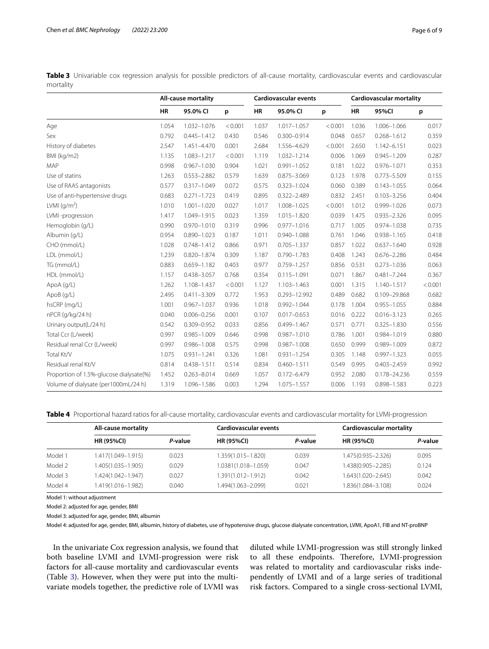<span id="page-5-0"></span>**Table 3** Univariable cox regression analysis for possible predictors of all-cause mortality, cardiovascular events and cardiovascular mortality

|                                         | <b>All-cause mortality</b> |                 |         |           | <b>Cardiovascular events</b> |         |           | <b>Cardiovascular mortality</b> |         |  |
|-----------------------------------------|----------------------------|-----------------|---------|-----------|------------------------------|---------|-----------|---------------------------------|---------|--|
|                                         | <b>HR</b>                  | 95.0% CI        | p       | <b>HR</b> | 95.0% CI                     | p       | <b>HR</b> | 95%CI                           | p       |  |
| Age                                     | 1.054                      | 1.032-1.076     | < 0.001 | 1.037     | $1.017 - 1.057$              | < 0.001 | 1.036     | 1.006-1.066                     | 0.017   |  |
| Sex                                     | 0.792                      | $0.445 - 1.412$ | 0.430   | 0.546     | $0.300 - 0.914$              | 0.048   | 0.657     | $0.268 - 1.612$                 | 0.359   |  |
| History of diabetes                     | 2.547                      | 1.451-4.470     | 0.001   | 2.684     | 1.556-4.629                  | < 0.001 | 2.650     | 1.142-6.151                     | 0.023   |  |
| BMI (kg/m2)                             | 1.135                      | 1.083-1.217     | < 0.001 | 1.119     | 1.032-1.214                  | 0.006   | 1.069     | $0.945 - 1.209$                 | 0.287   |  |
| MAP                                     | 0.998                      | $0.967 - 1.030$ | 0.904   | 1.021     | $0.991 - 1.052$              | 0.181   | 1.022     | $0.976 - 1.071$                 | 0.353   |  |
| Use of statins                          | 1.263                      | $0.553 - 2.882$ | 0.579   | 1.639     | $0.875 - 3.069$              | 0.123   | 1.978     | $0.773 - 5.509$                 | 0.155   |  |
| Use of RAAS antagonists                 | 0.577                      | $0.317 - 1.049$ | 0.072   | 0.575     | $0.323 - 1.024$              | 0.060   | 0.389     | $0.143 - 1.055$                 | 0.064   |  |
| Use of anti-hypertensive drugs          | 0.683                      | $0.271 - 1.723$ | 0.419   | 0.895     | $0.322 - 2.489$              | 0.832   | 2.451     | $0.103 - 3.256$                 | 0.404   |  |
| LVMI $\frac{q}{m^2}$                    | 1.010                      | $1.001 - 1.020$ | 0.027   | 1.017     | 1.008-1.025                  | < 0.001 | 1.012     | 0.999-1.026                     | 0.073   |  |
| LVMI-progression                        | 1.417                      | 1.049-1.915     | 0.023   | 1.359     | 1.015-1.820                  | 0.039   | 1.475     | $0.935 - 2.326$                 | 0.095   |  |
| Hemoglobin (g/L)                        | 0.990                      | $0.970 - 1.010$ | 0.319   | 0.996     | $0.977 - 1.016$              | 0.717   | 1.005     | 0.974-1.038                     | 0.735   |  |
| Albumin (g/L)                           | 0.954                      | $0.890 - 1.023$ | 0.187   | 1.011     | $0.940 - 1.088$              | 0.761   | 1.046     | $0.938 - 1.165$                 | 0.418   |  |
| CHO (mmol/L)                            | 1.028                      | $0.748 - 1.412$ | 0.866   | 0.971     | $0.705 - 1.337$              | 0.857   | 1.022     | $0.637 - 1.640$                 | 0.928   |  |
| LDL (mmol/L)                            | 1.239                      | $0.820 - 1.874$ | 0.309   | 1.187     | $0.790 - 1.783$              | 0.408   | 1.243     | $0.676 - 2.286$                 | 0.484   |  |
| TG (mmol/L)                             | 0.883                      | $0.659 - 1.182$ | 0.403   | 0.977     | $0.759 - 1.257$              | 0.856   | 0.531     | $0.273 - 1.036$                 | 0.063   |  |
| HDL (mmol/L)                            | 1.157                      | $0.438 - 3.057$ | 0.768   | 0.354     | $0.115 - 1.091$              | 0.071   | 1.867     | $0.481 - 7.244$                 | 0.367   |  |
| ApoA (g/L)                              | 1.262                      | 1.108-1.437     | < 0.001 | 1.127     | $1.103 - 1.463$              | 0.001   | 1.315     | 1.140-1.517                     | < 0.001 |  |
| ApoB (g/L)                              | 2.495                      | $0.411 - 3.309$ | 0.772   | 1.953     | 0.293-12.992                 | 0.489   | 0.682     | 0.109-29.868                    | 0.682   |  |
| hsCRP (mg/L)                            | 1.001                      | $0.967 - 1.037$ | 0.936   | 1.018     | $0.992 - 1.044$              | 0.178   | 1.004     | $0.955 - 1.055$                 | 0.884   |  |
| nPCR (g/kg/24 h)                        | 0.040                      | $0.006 - 0.256$ | 0.001   | 0.107     | $0.017 - 0.653$              | 0.016   | 0.222     | $0.016 - 3.123$                 | 0.265   |  |
| Urinary output(L/24 h)                  | 0.542                      | 0.309-0.952     | 0.033   | 0.856     | $0.499 - 1.467$              | 0.571   | 0.771     | $0.325 - 1.830$                 | 0.556   |  |
| Total Ccr (L/week)                      | 0.997                      | $0.985 - 1.009$ | 0.646   | 0.998     | $0.987 - 1.010$              | 0.786   | 1.001     | $0.984 - 1.019$                 | 0.880   |  |
| Residual renal Ccr (L/week)             | 0.997                      | $0.986 - 1.008$ | 0.575   | 0.998     | $0.987 - 1.008$              | 0.650   | 0.999     | 0.989-1.009                     | 0.872   |  |
| Total Kt/V                              | 1.075                      | $0.931 - 1.241$ | 0.326   | 1.081     | $0.931 - 1.254$              | 0.305   | 1.148     | $0.997 - 1.323$                 | 0.055   |  |
| Residual renal Kt/V                     | 0.814                      | $0.438 - 1.511$ | 0.514   | 0.834     | $0.460 - 1.511$              | 0.549   | 0.995     | $0.403 - 2.459$                 | 0.992   |  |
| Proportion of 1.5%-glucose dialysate(%) | 1.452                      | $0.263 - 8.014$ | 0.669   | 1.057     | $0.172 - 6.479$              | 0.952   | 2.080     | 0.178-24.236                    | 0.559   |  |
| Volume of dialysate (per1000mL/24 h)    | 1.319                      | 1.096-1.586     | 0.003   | 1.294     | 1.075-1.557                  | 0.006   | 1.193     | $0.898 - 1.583$                 | 0.223   |  |

<span id="page-5-1"></span>**Table 4** Proportional hazard ratios for all-cause mortality, cardiovascular events and cardiovascular mortality for LVMI-progression

|         | All-cause mortality |         | Cardiovascular events |         | Cardiovascular mortality |         |  |
|---------|---------------------|---------|-----------------------|---------|--------------------------|---------|--|
|         | <b>HR (95%CI)</b>   | P-value | <b>HR (95%CI)</b>     | P-value | <b>HR (95%CI)</b>        | P-value |  |
| Model 1 | 1.417(1.049-1.915)  | 0.023   | 1.359(1.015–1.820)    | 0.039   | 1.475(0.935-2.326)       | 0.095   |  |
| Model 2 | 1.405(1.035-1.905)  | 0.029   | 1.0381(1.018-1.059)   | 0.047   | 1.438(0.905-2.285)       | 0.124   |  |
| Model 3 | 1.424(1.042-1.947)  | 0.027   | 1.391(1.012–1.912)    | 0.042   | 1.643(1.020-2.645)       | 0.042   |  |
| Model 4 | 1.419(1.016-1.982)  | 0.040   | .494(1.063–2.099)     | 0.021   | 1.836(1.084-3.108)       | 0.024   |  |

Model 1: without adjustment

Model 2: adjusted for age, gender, BMI

Model 3: adjusted for age, gender, BMI, albumin

Model 4: adjusted for age, gender, BMI, albumin, history of diabetes, use of hypotensive drugs, glucose dialysate concentration, LVMI, ApoA1, FIB and NT-proBNP

In the univariate Cox regression analysis, we found that both baseline LVMI and LVMI-progression were risk factors for all-cause mortality and cardiovascular events (Table [3\)](#page-5-0). However, when they were put into the multivariate models together, the predictive role of LVMI was diluted while LVMI-progression was still strongly linked to all these endpoints. Therefore, LVMI-progression was related to mortality and cardiovascular risks independently of LVMI and of a large series of traditional risk factors. Compared to a single cross-sectional LVMI,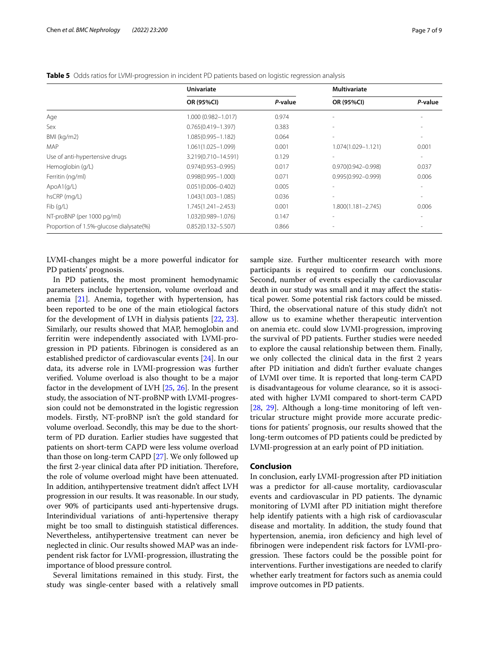|                                         | <b>Univariate</b>      |         | <b>Multivariate</b>          |                          |  |
|-----------------------------------------|------------------------|---------|------------------------------|--------------------------|--|
|                                         | OR (95%CI)             | P-value | OR (95%CI)                   | P-value                  |  |
| Age                                     | $1.000(0.982 - 1.017)$ | 0.974   | $\qquad \qquad \blacksquare$ |                          |  |
| Sex                                     | $0.765(0.419 - 1.397)$ | 0.383   | $\qquad \qquad \blacksquare$ |                          |  |
| BMI (kg/m2)                             | $1.085(0.995 - 1.182)$ | 0.064   | ۰                            |                          |  |
| <b>MAP</b>                              | 1.061(1.025-1.099)     | 0.001   | 1.074(1.029-1.121)           | 0.001                    |  |
| Use of anti-hypertensive drugs          | 3.219(0.710-14.591)    | 0.129   | ۰.                           | $\overline{\phantom{a}}$ |  |
| Hemoglobin (g/L)                        | $0.974(0.953 - 0.995)$ | 0.017   | $0.970(0.942 - 0.998)$       | 0.037                    |  |
| Ferritin (ng/ml)                        | $0.998(0.995 - 1.000)$ | 0.071   | $0.995(0.992 - 0.999)$       | 0.006                    |  |
| ApoA1(q/L)                              | $0.051(0.006 - 0.402)$ | 0.005   | ۰                            |                          |  |
| hsCRP (mg/L)                            | 1.043(1.003-1.085)     | 0.036   | ۰                            |                          |  |
| Fib(q/L)                                | $1.745(1.241 - 2.453)$ | 0.001   | $1.800(1.181 - 2.745)$       | 0.006                    |  |
| NT-proBNP (per 1000 pg/ml)              | 1.032(0.989-1.076)     | 0.147   |                              |                          |  |
| Proportion of 1.5%-glucose dialysate(%) | $0.852(0.132 - 5.507)$ | 0.866   |                              |                          |  |

<span id="page-6-0"></span>**Table 5** Odds ratios for LVMI-progression in incident PD patients based on logistic regression analysis

LVMI-changes might be a more powerful indicator for PD patients' prognosis.

In PD patients, the most prominent hemodynamic parameters include hypertension, volume overload and anemia [\[21](#page-7-19)]. Anemia, together with hypertension, has been reported to be one of the main etiological factors for the development of LVH in dialysis patients [\[22,](#page-7-20) [23](#page-7-21)]. Similarly, our results showed that MAP, hemoglobin and ferritin were independently associated with LVMI-progression in PD patients. Fibrinogen is considered as an established predictor of cardiovascular events [[24](#page-7-22)]. In our data, its adverse role in LVMI-progression was further verifed. Volume overload is also thought to be a major factor in the development of LVH [[25,](#page-8-0) [26](#page-8-1)]. In the present study, the association of NT-proBNP with LVMI-progression could not be demonstrated in the logistic regression models. Firstly, NT-proBNP isn't the gold standard for volume overload. Secondly, this may be due to the shortterm of PD duration. Earlier studies have suggested that patients on short-term CAPD were less volume overload than those on long-term CAPD [[27](#page-8-2)]. We only followed up the first 2-year clinical data after PD initiation. Therefore, the role of volume overload might have been attenuated. In addition, antihypertensive treatment didn't afect LVH progression in our results. It was reasonable. In our study, over 90% of participants used anti-hypertensive drugs. Interindividual variations of anti-hypertensive therapy might be too small to distinguish statistical diferences. Nevertheless, antihypertensive treatment can never be neglected in clinic. Our results showed MAP was an independent risk factor for LVMI-progression, illustrating the importance of blood pressure control.

Several limitations remained in this study. First, the study was single-center based with a relatively small sample size. Further multicenter research with more participants is required to confrm our conclusions. Second, number of events especially the cardiovascular death in our study was small and it may afect the statistical power. Some potential risk factors could be missed. Third, the observational nature of this study didn't not allow us to examine whether therapeutic intervention on anemia etc. could slow LVMI-progression, improving the survival of PD patients. Further studies were needed to explore the causal relationship between them. Finally, we only collected the clinical data in the frst 2 years after PD initiation and didn't further evaluate changes of LVMI over time. It is reported that long-term CAPD is disadvantageous for volume clearance, so it is associated with higher LVMI compared to short-term CAPD [[28,](#page-8-3) [29](#page-8-4)]. Although a long-time monitoring of left ventricular structure might provide more accurate predictions for patients' prognosis, our results showed that the long-term outcomes of PD patients could be predicted by LVMI-progression at an early point of PD initiation.

#### **Conclusion**

In conclusion, early LVMI-progression after PD initiation was a predictor for all-cause mortality, cardiovascular events and cardiovascular in PD patients. The dynamic monitoring of LVMI after PD initiation might therefore help identify patients with a high risk of cardiovascular disease and mortality. In addition, the study found that hypertension, anemia, iron defciency and high level of fbrinogen were independent risk factors for LVMI-progression. These factors could be the possible point for interventions. Further investigations are needed to clarify whether early treatment for factors such as anemia could improve outcomes in PD patients.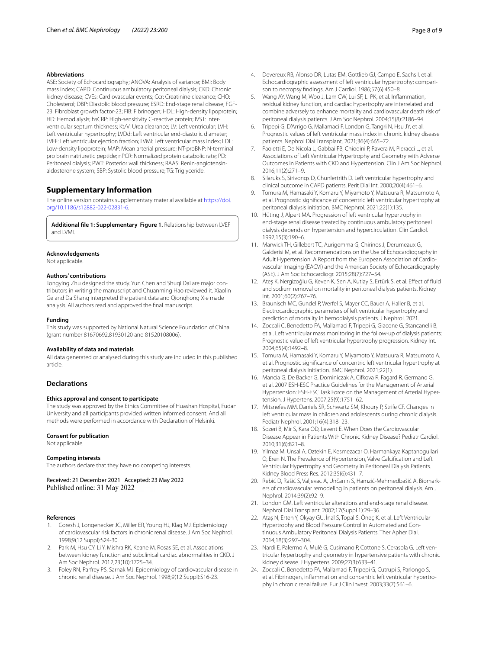#### **Abbreviations**

ASE: Society of Echocardiography; ANOVA: Analysis of variance; BMI: Body mass index; CAPD: Continuous ambulatory peritoneal dialysis; CKD: Chronic kidney disease; CVEs: Cardiovascular events; Ccr: Creatinine clearance; CHO: Cholesterol; DBP: Diastolic blood pressure; ESRD: End-stage renal disease; FGF-23: Fibroblast growth factor-23; FIB: Fibrinogen; HDL: High-density lipoprotein; HD: Hemodialysis; hsCRP: High-sensitivity C-reactive protein; IVST: Interventricular septum thickness; Kt/V: Urea clearance; LV: Left ventricular; LVH: Left ventricular hypertrophy; LVDd: Left ventricular end-diastolic diameter; LVEF: Left ventricular ejection fraction; LVMI: Left ventricular mass index; LDL: Low-density lipoprotein; MAP: Mean arterial pressure; NT-proBNP: N-terminal pro brain natriuretic peptide; nPCR: Normalized protein catabolic rate; PD: Peritoneal dialysis; PWT: Posterior wall thickness; RAAS: Renin-angiotensinaldosterone system; SBP: Systolic blood pressure; TG: Triglyceride.

## **Supplementary Information**

The online version contains supplementary material available at [https://doi.](https://doi.org/10.1186/s12882-022-02831-6) [org/10.1186/s12882-022-02831-6](https://doi.org/10.1186/s12882-022-02831-6).

<span id="page-7-10"></span>**Additional fle 1: Supplementary Figure 1.** Relationship between LVEF and LVMI.

## **Acknowledgements**

Not applicable.

#### **Authors' contributions**

Tongying Zhu designed the study. Yun Chen and Shuqi Dai are major contributors in writing the manuscript and Chuanming Hao reviewed it. Xiaolin Ge and Da Shang interpreted the patient data and Qionghong Xie made analysis. All authors read and approved the fnal manuscript.

#### **Funding**

This study was supported by National Natural Science Foundation of China (grant number 81670692,81930120 and 81520108006).

#### **Availability of data and materials**

All data generated or analysed during this study are included in this published article.

## **Declarations**

## **Ethics approval and consent to participate**

The study was approved by the Ethics Committee of Huashan Hospital, Fudan University and all participants provided written informed consent. And all methods were performed in accordance with Declaration of Helsinki.

#### **Consent for publication**

Not applicable.

#### **Competing interests**

The authors declare that they have no competing interests.

Received: 21 December 2021 Accepted: 23 May 2022

#### **References**

- <span id="page-7-0"></span>1. Coresh J, Longenecker JC, Miller ER, Young HJ, Klag MJ. Epidemiology of cardiovascular risk factors in chronic renal disease. J Am Soc Nephrol. 1998;9(12 Suppl):S24-30.
- <span id="page-7-1"></span>2. Park M, Hsu CY, Li Y, Mishra RK, Keane M, Rosas SE, et al. Associations between kidney function and subclinical cardiac abnormalities in CKD. J Am Soc Nephrol. 2012;23(10):1725–34.
- <span id="page-7-2"></span>3. Foley RN, Parfrey PS, Sarnak MJ. Epidemiology of cardiovascular disease in chronic renal disease. J Am Soc Nephrol. 1998;9(12 Suppl):S16-23.
- <span id="page-7-3"></span>4. Devereux RB, Alonso DR, Lutas EM, Gottlieb GJ, Campo E, Sachs I, et al. Echocardiographic assessment of left ventricular hypertrophy: comparison to necropsy fndings. Am J Cardiol. 1986;57(6):450–8.
- <span id="page-7-4"></span>5. Wang AY, Wang M, Woo J, Lam CW, Lui SF, Li PK, et al. Infammation, residual kidney function, and cardiac hypertrophy are interrelated and combine adversely to enhance mortality and cardiovascular death risk of peritoneal dialysis patients. J Am Soc Nephrol. 2004;15(8):2186–94.
- 6. Tripepi G, D'Arrigo G, Mallamaci F, London G, Tangri N, Hsu JY, et al. Prognostic values of left ventricular mass index in chronic kidney disease patients. Nephrol Dial Transplant. 2021;36(4):665–72.
- <span id="page-7-5"></span>7. Paoletti E, De Nicola L, Gabbai FB, Chiodini P, Ravera M, Pieracci L, et al. Associations of Left Ventricular Hypertrophy and Geometry with Adverse Outcomes in Patients with CKD and Hypertension. Clin J Am Soc Nephrol. 2016;11(2):271–9.
- <span id="page-7-6"></span>8. Silaruks S, Sirivongs D, Chunlertrith D. Left ventricular hypertrophy and clinical outcome in CAPD patients. Perit Dial Int. 2000;20(4):461–6.
- <span id="page-7-7"></span>9. Tomura M, Hamasaki Y, Komaru Y, Miyamoto Y, Matsuura R, Matsumoto A, et al. Prognostic signifcance of concentric left ventricular hypertrophy at peritoneal dialysis initiation. BMC Nephrol. 2021;22(1):135.
- <span id="page-7-8"></span>10. Hüting J, Alpert MA. Progression of left ventricular hypertrophy in end-stage renal disease treated by continuous ambulatory peritoneal dialysis depends on hypertension and hypercirculation. Clin Cardiol. 1992;15(3):190–6.
- <span id="page-7-9"></span>11. Marwick TH, Gillebert TC, Aurigemma G, Chirinos J, Derumeaux G, Galderisi M, et al. Recommendations on the Use of Echocardiography in Adult Hypertension: A Report from the European Association of Cardiovascular Imaging (EACVI) and the American Society of Echocardiography (ASE). J Am Soc Echocardiogr. 2015;28(7):727–54.
- <span id="page-7-11"></span>12. Ateş K, Nergizoğlu G, Keven K, Sen A, Kutlay S, Ertürk S, et al. Efect of fuid and sodium removal on mortality in peritoneal dialysis patients. Kidney Int. 2001;60(2):767–76.
- <span id="page-7-12"></span>13. Braunisch MC, Gundel P, Werfel S, Mayer CC, Bauer A, Haller B, et al. Electrocardiographic parameters of left ventricular hypertrophy and prediction of mortality in hemodialysis patients. J Nephrol. 2021.
- <span id="page-7-13"></span>14. Zoccali C, Benedetto FA, Mallamaci F, Tripepi G, Giacone G, Stancanelli B, et al. Left ventricular mass monitoring in the follow-up of dialysis patients: Prognostic value of left ventricular hypertrophy progression. Kidney Int. 2004;65(4):1492–8.
- <span id="page-7-14"></span>15. Tomura M, Hamasaki Y, Komaru Y, Miyamoto Y, Matsuura R, Matsumoto A, et al. Prognostic signifcance of concentric left ventricular hypertrophy at peritoneal dialysis initiation. BMC Nephrol. 2021;22(1).
- <span id="page-7-15"></span>16. Mancia G, De Backer G, Dominiczak A, Cifkova R, Fagard R, Germano G, et al. 2007 ESH-ESC Practice Guidelines for the Management of Arterial Hypertension: ESH-ESC Task Force on the Management of Arterial Hypertension. J Hypertens. 2007;25(9):1751–62.
- <span id="page-7-16"></span>17. Mitsnefes MM, Daniels SR, Schwartz SM, Khoury P, Strife CF. Changes in left ventricular mass in children and adolescents during chronic dialysis. Pediatr Nephrol. 2001;16(4):318–23.
- 18. Sozeri B, Mir S, Kara OD, Levent E. When Does the Cardiovascular Disease Appear in Patients With Chronic Kidney Disease? Pediatr Cardiol. 2010;31(6):821–8.
- <span id="page-7-17"></span>19. Yilmaz M, Unsal A, Oztekin E, Kesmezacar O, Harmankaya Kaptanogullari O, Eren N. The Prevalence of Hypertension, Valve Calcifcation and Left Ventricular Hypertrophy and Geometry in Peritoneal Dialysis Patients. Kidney Blood Press Res. 2012;35(6):431–7.
- <span id="page-7-18"></span>20. Rebić D, Rašić S, Valjevac A, Unčanin S, Hamzić-Mehmedbašić A. Biomarkers of cardiovascular remodeling in patients on peritoneal dialysis. Am J Nephrol. 2014;39(2):92–9.
- <span id="page-7-19"></span>21. London GM. Left ventricular alterations and end-stage renal disease. Nephrol Dial Transplant. 2002;17(Suppl 1):29–36.
- <span id="page-7-20"></span>22. Ataş N, Erten Y, Okyay GU, İnal S, Topal S, Öneç K, et al. Left Ventricular Hypertrophy and Blood Pressure Control in Automated and Continuous Ambulatory Peritoneal Dialysis Patients. Ther Apher Dial. 2014;18(3):297–304.
- <span id="page-7-21"></span>23. Nardi E, Palermo A, Mulè G, Cusimano P, Cottone S, Cerasola G. Left ventricular hypertrophy and geometry in hypertensive patients with chronic kidney disease. J Hypertens. 2009;27(3):633–41.
- <span id="page-7-22"></span>24. Zoccali C, Benedetto FA, Mallamaci F, Tripepi G, Cutrupi S, Parlongo S, et al. Fibrinogen, infammation and concentric left ventricular hypertrophy in chronic renal failure. Eur J Clin Invest. 2003;33(7):561–6.